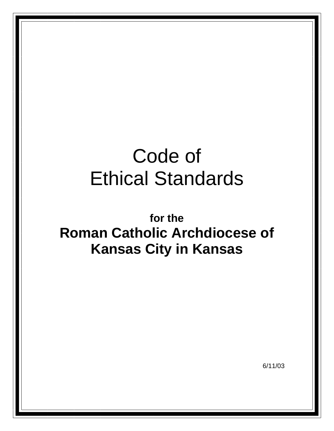# Code of Ethical Standards

**for the Roman Catholic Archdiocese of Kansas City in Kansas**

6/11/03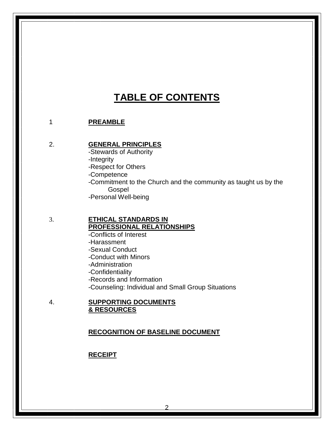## **TABLE OF CONTENTS**

#### 1 **PREAMBLE**

#### 2. **GENERAL PRINCIPLES**

-Stewards of Authority

-Integrity

-Respect for Others

-Competence

-Commitment to the Church and the community as taught us by the **Gospel** 

-Personal Well-being

#### 3. **ETHICAL STANDARDS IN PROFESSIONAL RELATIONSHIPS**

-Conflicts of Interest -Harassment -Sexual Conduct -Conduct with Minors -Administration -Confidentiality -Records and Information -Counseling: Individual and Small Group Situations

#### 4. **SUPPORTING DOCUMENTS & RESOURCES**

#### **RECOGNITION OF BASELINE DOCUMENT**

#### **RECEIPT**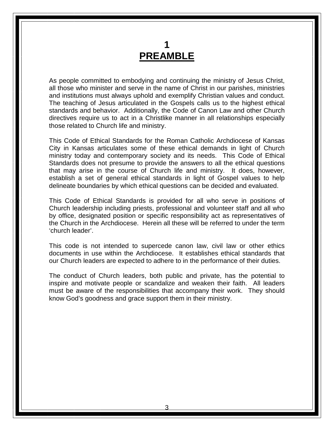## **1 PREAMBLE**

As people committed to embodying and continuing the ministry of Jesus Christ, all those who minister and serve in the name of Christ in our parishes, ministries and institutions must always uphold and exemplify Christian values and conduct. The teaching of Jesus articulated in the Gospels calls us to the highest ethical standards and behavior. Additionally, the Code of Canon Law and other Church directives require us to act in a Christlike manner in all relationships especially those related to Church life and ministry.

This Code of Ethical Standards for the Roman Catholic Archdiocese of Kansas City in Kansas articulates some of these ethical demands in light of Church ministry today and contemporary society and its needs. This Code of Ethical Standards does not presume to provide the answers to all the ethical questions that may arise in the course of Church life and ministry. It does, however, establish a set of general ethical standards in light of Gospel values to help delineate boundaries by which ethical questions can be decided and evaluated.

This Code of Ethical Standards is provided for all who serve in positions of Church leadership including priests, professional and volunteer staff and all who by office, designated position or specific responsibility act as representatives of the Church in the Archdiocese. Herein all these will be referred to under the term 'church leader'.

This code is not intended to supercede canon law, civil law or other ethics documents in use within the Archdiocese. It establishes ethical standards that our Church leaders are expected to adhere to in the performance of their duties.

The conduct of Church leaders, both public and private, has the potential to inspire and motivate people or scandalize and weaken their faith. All leaders must be aware of the responsibilities that accompany their work. They should know God's goodness and grace support them in their ministry.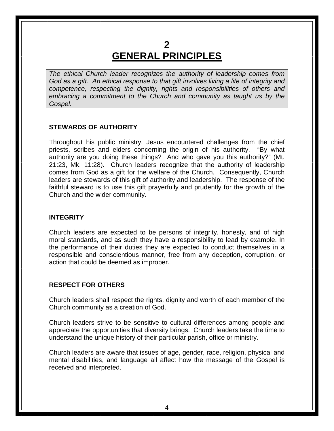## **2 GENERAL PRINCIPLES**

*The ethical Church leader recognizes the authority of leadership comes from God as a gift. An ethical response to that gift involves living a life of integrity and competence, respecting the dignity, rights and responsibilities of others and embracing a commitment to the Church and community as taught us by the Gospel.*

#### **STEWARDS OF AUTHORITY**

Throughout his public ministry, Jesus encountered challenges from the chief priests, scribes and elders concerning the origin of his authority. "By what authority are you doing these things? And who gave you this authority?" (Mt. 21:23, Mk. 11:28). Church leaders recognize that the authority of leadership comes from God as a gift for the welfare of the Church. Consequently, Church leaders are stewards of this gift of authority and leadership. The response of the faithful steward is to use this gift prayerfully and prudently for the growth of the Church and the wider community.

#### **INTEGRITY**

Church leaders are expected to be persons of integrity, honesty, and of high moral standards, and as such they have a responsibility to lead by example. In the performance of their duties they are expected to conduct themselves in a responsible and conscientious manner, free from any deception, corruption, or action that could be deemed as improper.

#### **RESPECT FOR OTHERS**

Church leaders shall respect the rights, dignity and worth of each member of the Church community as a creation of God.

Church leaders strive to be sensitive to cultural differences among people and appreciate the opportunities that diversity brings. Church leaders take the time to understand the unique history of their particular parish, office or ministry.

Church leaders are aware that issues of age, gender, race, religion, physical and mental disabilities, and language all affect how the message of the Gospel is received and interpreted.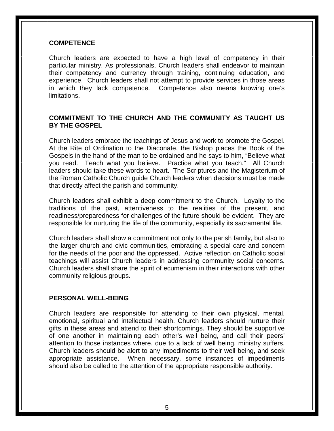#### **COMPETENCE**

Church leaders are expected to have a high level of competency in their particular ministry. As professionals, Church leaders shall endeavor to maintain their competency and currency through training, continuing education, and experience. Church leaders shall not attempt to provide services in those areas in which they lack competence. Competence also means knowing one's limitations.

#### **COMMITMENT TO THE CHURCH AND THE COMMUNITY AS TAUGHT US BY THE GOSPEL**

Church leaders embrace the teachings of Jesus and work to promote the Gospel. At the Rite of Ordination to the Diaconate, the Bishop places the Book of the Gospels in the hand of the man to be ordained and he says to him, "Believe what you read. Teach what you believe. Practice what you teach." All Church leaders should take these words to heart. The Scriptures and the Magisterium of the Roman Catholic Church guide Church leaders when decisions must be made that directly affect the parish and community.

Church leaders shall exhibit a deep commitment to the Church. Loyalty to the traditions of the past, attentiveness to the realities of the present, and readiness/preparedness for challenges of the future should be evident. They are responsible for nurturing the life of the community, especially its sacramental life.

Church leaders shall show a commitment not only to the parish family, but also to the larger church and civic communities, embracing a special care and concern for the needs of the poor and the oppressed. Active reflection on Catholic social teachings will assist Church leaders in addressing community social concerns. Church leaders shall share the spirit of ecumenism in their interactions with other community religious groups.

#### **PERSONAL WELL-BEING**

Church leaders are responsible for attending to their own physical, mental, emotional, spiritual and intellectual health. Church leaders should nurture their gifts in these areas and attend to their shortcomings. They should be supportive of one another in maintaining each other's well being, and call their peers' attention to those instances where, due to a lack of well being, ministry suffers. Church leaders should be alert to any impediments to their well being, and seek appropriate assistance. When necessary, some instances of impediments should also be called to the attention of the appropriate responsible authority.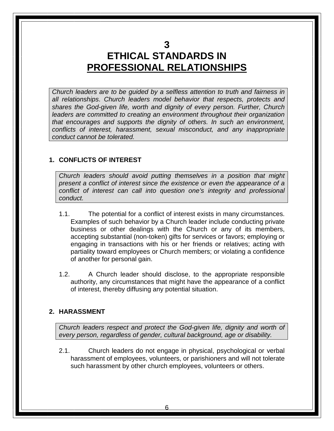**3**

## **ETHICAL STANDARDS IN PROFESSIONAL RELATIONSHIPS**

*Church leaders are to be guided by a selfless attention to truth and fairness in all relationships*. *Church leaders model behavior that respects, protects and shares the God-given life, worth and dignity of every person. Further, Church leaders are committed to creating an environment throughout their organization that encourages and supports the dignity of others. In such an environment, conflicts of interest, harassment, sexual misconduct, and any inappropriate conduct cannot be tolerated.*

#### **1. CONFLICTS OF INTEREST**

*Church leaders should avoid putting themselves in a position that might present a conflict of interest since the existence or even the appearance of a conflict of interest can call into question one's integrity and professional conduct.*

- 1.1. The potential for a conflict of interest exists in many circumstances. Examples of such behavior by a Church leader include conducting private business or other dealings with the Church or any of its members, accepting substantial (non-token) gifts for services or favors; employing or engaging in transactions with his or her friends or relatives; acting with partiality toward employees or Church members; or violating a confidence of another for personal gain.
- 1.2. A Church leader should disclose, to the appropriate responsible authority, any circumstances that might have the appearance of a conflict of interest, thereby diffusing any potential situation.

#### **2. HARASSMENT**

*Church leaders respect and protect the God-given life, dignity and worth of every person, regardless of gender, cultural background, age or disability.*

2.1. Church leaders do not engage in physical, psychological or verbal harassment of employees, volunteers, or parishioners and will not tolerate such harassment by other church employees, volunteers or others.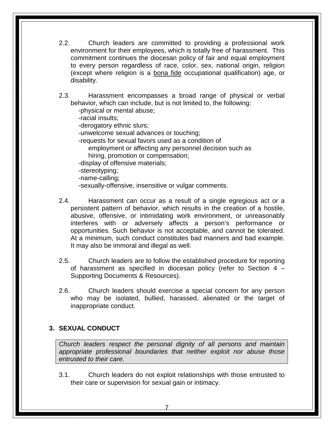- 2.2. Church leaders are committed to providing a professional work environment for their employees, which is totally free of harassment. This commitment continues the diocesan policy of fair and equal employment to every person regardless of race, color, sex, national origin, religion (except where religion is a bona fide occupational qualification) age, or disability.
- 2.3. Harassment encompasses a broad range of physical or verbal behavior, which can include, but is not limited to, the following:

-physical or mental abuse;

-racial insults;

-derogatory ethnic slurs;

-unwelcome sexual advances or touching;

-requests for sexual favors used as a condition of

employment or affecting any personnel decision such as hiring, promotion or compensation;

-display of offensive materials;

-stereotyping;

-name-calling;

- -sexually-offensive, insensitive or vulgar comments.
- 2.4. Harassment can occur as a result of a single egregious act or a persistent pattern of behavior, which results in the creation of a hostile, abusive, offensive, or intimidating work environment, or unreasonably interferes with or adversely affects a person's performance or opportunities. Such behavior is not acceptable, and cannot be tolerated. At a minimum, such conduct constitutes bad manners and bad example. It may also be immoral and illegal as well.
- 2.5. Church leaders are to follow the established procedure for reporting of harassment as specified in diocesan policy (refer to Section 4 – Supporting Documents & Resources).
- 2.6. Church leaders should exercise a special concern for any person who may be isolated, bullied, harassed, alienated or the target of inappropriate conduct.

#### **3. SEXUAL CONDUCT**

*Church leaders respect the personal dignity of all persons and maintain appropriate professional boundaries that neither exploit nor abuse those entrusted to their care.*

3.1. Church leaders do not exploit relationships with those entrusted to their care or supervision for sexual gain or intimacy.

7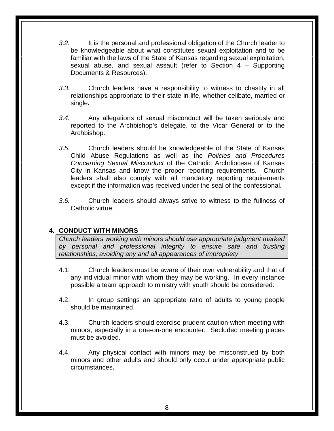- *3.2.* It is the personal and professional obligation of the Church leader to be knowledgeable about what constitutes sexual exploitation and to be familiar with the laws of the State of Kansas regarding sexual exploitation, sexual abuse, and sexual assault (refer to Section 4 – Supporting Documents & Resources).
- *3.3.* Church leaders have a responsibility to witness to chastity in all relationships appropriate to their state in life, whether celibate, married or single**.**
- *3.4.* Any allegations of sexual misconduct will be taken seriously and reported to the Archbishop's delegate, to the Vicar General or to the Archbishop.
- *3.5.* Church leaders should be knowledgeable of the State of Kansas Child Abuse Regulations as well as the *Policies and Procedures Concerning Sexual Misconduct* of the Catholic Archdiocese of Kansas City in Kansas and know the proper reporting requirements. Church leaders shall also comply with all mandatory reporting requirements except if the information was received under the seal of the confessional.
- *3.6.* Church leaders should always strive to witness to the fullness of Catholic virtue.

#### **4. CONDUCT WITH MINORS**

*Church leaders working with minors should use appropriate judgment marked by personal and professional integrity to ensure safe and trusting relationships, avoiding any and all appearances of impropriety*

- 4.1. Church leaders must be aware of their own vulnerability and that of any individual minor with whom they may be working. In every instance possible a team approach to ministry with youth should be considered.
- 4.2. In group settings an appropriate ratio of adults to young people should be maintained.
- 4.3. Church leaders should exercise prudent caution when meeting with minors, especially in a one-on-one encounter. Secluded meeting places must be avoided.
- 4.4. Any physical contact with minors may be misconstrued by both minors and other adults and should only occur under appropriate public circumstances**.**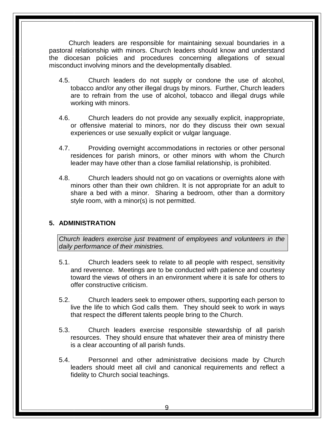Church leaders are responsible for maintaining sexual boundaries in a pastoral relationship with minors. Church leaders should know and understand the diocesan policies and procedures concerning allegations of sexual misconduct involving minors and the developmentally disabled.

- 4.5. Church leaders do not supply or condone the use of alcohol, tobacco and/or any other illegal drugs by minors. Further, Church leaders are to refrain from the use of alcohol, tobacco and illegal drugs while working with minors.
- 4.6. Church leaders do not provide any sexually explicit, inappropriate, or offensive material to minors, nor do they discuss their own sexual experiences or use sexually explicit or vulgar language.
- 4.7. Providing overnight accommodations in rectories or other personal residences for parish minors, or other minors with whom the Church leader may have other than a close familial relationship, is prohibited.
- 4.8. Church leaders should not go on vacations or overnights alone with minors other than their own children. It is not appropriate for an adult to share a bed with a minor. Sharing a bedroom, other than a dormitory style room, with a minor(s) is not permitted.

#### **5. ADMINISTRATION**

*Church leaders exercise just treatment of employees and volunteers in the daily performance of their ministries.*

- 5.1. Church leaders seek to relate to all people with respect, sensitivity and reverence. Meetings are to be conducted with patience and courtesy toward the views of others in an environment where it is safe for others to offer constructive criticism.
- 5.2. Church leaders seek to empower others, supporting each person to live the life to which God calls them. They should seek to work in ways that respect the different talents people bring to the Church.
- 5.3. Church leaders exercise responsible stewardship of all parish resources. They should ensure that whatever their area of ministry there is a clear accounting of all parish funds.
- 5.4. Personnel and other administrative decisions made by Church leaders should meet all civil and canonical requirements and reflect a fidelity to Church social teachings.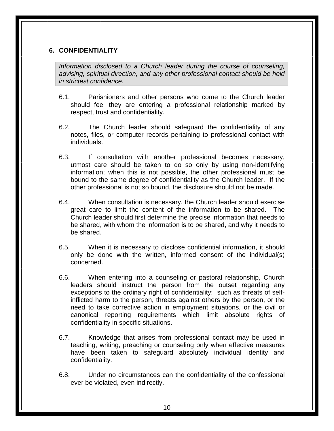#### **6. CONFIDENTIALITY**

*Information disclosed to a Church leader during the course of counseling, advising, spiritual direction, and any other professional contact should be held in strictest confidence.*

- 6.1. Parishioners and other persons who come to the Church leader should feel they are entering a professional relationship marked by respect, trust and confidentiality.
- 6.2. The Church leader should safeguard the confidentiality of any notes, files, or computer records pertaining to professional contact with individuals.
- 6.3. If consultation with another professional becomes necessary, utmost care should be taken to do so only by using non-identifying information; when this is not possible, the other professional must be bound to the same degree of confidentiality as the Church leader. If the other professional is not so bound, the disclosure should not be made.
- 6.4. When consultation is necessary, the Church leader should exercise great care to limit the content of the information to be shared. The Church leader should first determine the precise information that needs to be shared, with whom the information is to be shared, and why it needs to be shared.
- 6.5. When it is necessary to disclose confidential information, it should only be done with the written, informed consent of the individual(s) concerned.
- 6.6. When entering into a counseling or pastoral relationship, Church leaders should instruct the person from the outset regarding any exceptions to the ordinary right of confidentiality: such as threats of selfinflicted harm to the person, threats against others by the person, or the need to take corrective action in employment situations, or the civil or canonical reporting requirements which limit absolute rights of confidentiality in specific situations.
- 6.7. Knowledge that arises from professional contact may be used in teaching, writing, preaching or counseling only when effective measures have been taken to safeguard absolutely individual identity and confidentiality.
- 6.8. Under no circumstances can the confidentiality of the confessional ever be violated, even indirectly.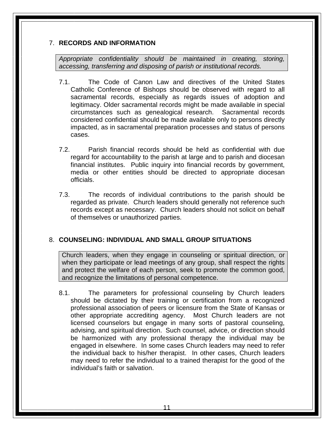#### 7. **RECORDS AND INFORMATION**

*Appropriate confidentiality should be maintained in creating, storing, accessing, transferring and disposing of parish or institutional records.*

- 7.1. The Code of Canon Law and directives of the United States Catholic Conference of Bishops should be observed with regard to all sacramental records, especially as regards issues of adoption and legitimacy. Older sacramental records might be made available in special circumstances such as genealogical research. Sacramental records considered confidential should be made available only to persons directly impacted, as in sacramental preparation processes and status of persons cases.
- 7.2. Parish financial records should be held as confidential with due regard for accountability to the parish at large and to parish and diocesan financial institutes. Public inquiry into financial records by government, media or other entities should be directed to appropriate diocesan officials.
- 7.3. The records of individual contributions to the parish should be regarded as private. Church leaders should generally not reference such records except as necessary. Church leaders should not solicit on behalf of themselves or unauthorized parties.

#### 8. **COUNSELING: INDIVIDUAL AND SMALL GROUP SITUATIONS**

Church leaders, when they engage in counseling or spiritual direction, or when they participate or lead meetings of any group, shall respect the rights and protect the welfare of each person, seek to promote the common good, and recognize the limitations of personal competence.

8.1. The parameters for professional counseling by Church leaders should be dictated by their training or certification from a recognized professional association of peers or licensure from the State of Kansas or other appropriate accrediting agency. Most Church leaders are not licensed counselors but engage in many sorts of pastoral counseling, advising, and spiritual direction. Such counsel, advice, or direction should be harmonized with any professional therapy the individual may be engaged in elsewhere. In some cases Church leaders may need to refer the individual back to his/her therapist. In other cases, Church leaders may need to refer the individual to a trained therapist for the good of the individual's faith or salvation.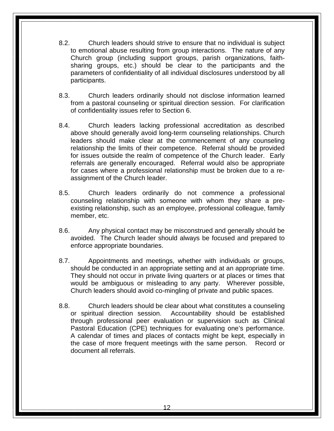- 8.2. Church leaders should strive to ensure that no individual is subject to emotional abuse resulting from group interactions. The nature of any Church group (including support groups, parish organizations, faithsharing groups, etc.) should be clear to the participants and the parameters of confidentiality of all individual disclosures understood by all participants.
- 8.3. Church leaders ordinarily should not disclose information learned from a pastoral counseling or spiritual direction session. For clarification of confidentiality issues refer to Section 6.
- 8.4. Church leaders lacking professional accreditation as described above should generally avoid long-term counseling relationships. Church leaders should make clear at the commencement of any counseling relationship the limits of their competence. Referral should be provided for issues outside the realm of competence of the Church leader. Early referrals are generally encouraged. Referral would also be appropriate for cases where a professional relationship must be broken due to a reassignment of the Church leader.
- 8.5. Church leaders ordinarily do not commence a professional counseling relationship with someone with whom they share a preexisting relationship, such as an employee, professional colleague, family member, etc.
- 8.6. Any physical contact may be misconstrued and generally should be avoided. The Church leader should always be focused and prepared to enforce appropriate boundaries.
- 8.7. Appointments and meetings, whether with individuals or groups, should be conducted in an appropriate setting and at an appropriate time. They should not occur in private living quarters or at places or times that would be ambiguous or misleading to any party. Wherever possible, Church leaders should avoid co-mingling of private and public spaces.
- 8.8. Church leaders should be clear about what constitutes a counseling or spiritual direction session. Accountability should be established through professional peer evaluation or supervision such as Clinical Pastoral Education (CPE) techniques for evaluating one's performance. A calendar of times and places of contacts might be kept, especially in the case of more frequent meetings with the same person. Record or document all referrals.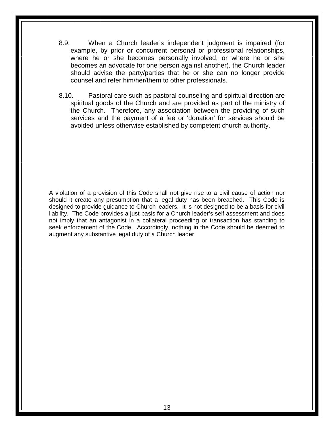- 8.9. When a Church leader's independent judgment is impaired (for example, by prior or concurrent personal or professional relationships, where he or she becomes personally involved, or where he or she becomes an advocate for one person against another), the Church leader should advise the party/parties that he or she can no longer provide counsel and refer him/her/them to other professionals.
- 8.10. Pastoral care such as pastoral counseling and spiritual direction are spiritual goods of the Church and are provided as part of the ministry of the Church. Therefore, any association between the providing of such services and the payment of a fee or 'donation' for services should be avoided unless otherwise established by competent church authority.

A violation of a provision of this Code shall not give rise to a civil cause of action nor should it create any presumption that a legal duty has been breached. This Code is designed to provide guidance to Church leaders. It is not designed to be a basis for civil liability. The Code provides a just basis for a Church leader's self assessment and does not imply that an antagonist in a collateral proceeding or transaction has standing to seek enforcement of the Code. Accordingly, nothing in the Code should be deemed to augment any substantive legal duty of a Church leader.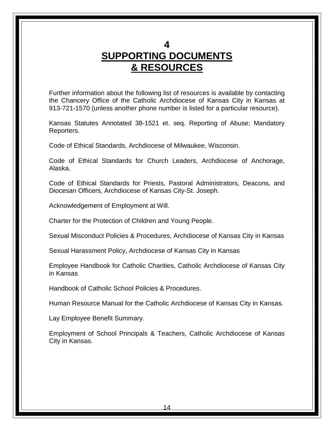#### **4**

# **SUPPORTING DOCUMENTS & RESOURCES**

Further information about the following list of resources is available by contacting the Chancery Office of the Catholic Archdiocese of Kansas City in Kansas at 913-721-1570 (unless another phone number is listed for a particular resource).

Kansas Statutes Annotated 38-1521 et. seq. Reporting of Abuse; Mandatory Reporters.

Code of Ethical Standards, Archdiocese of Milwaukee, Wisconsin.

Code of Ethical Standards for Church Leaders, Archdiocese of Anchorage, Alaska.

Code of Ethical Standards for Priests, Pastoral Administrators, Deacons, and Diocesan Officers, Archdiocese of Kansas City-St. Joseph.

Acknowledgement of Employment at Will.

Charter for the Protection of Children and Young People.

Sexual Misconduct Policies & Procedures, Archdiocese of Kansas City in Kansas

Sexual Harassment Policy, Archdiocese of Kansas City in Kansas

Employee Handbook for Catholic Charities, Catholic Archdiocese of Kansas City in Kansas

Handbook of Catholic School Policies & Procedures.

Human Resource Manual for the Catholic Archdiocese of Kansas City in Kansas.

Lay Employee Benefit Summary.

Employment of School Principals & Teachers, Catholic Archdiocese of Kansas City in Kansas.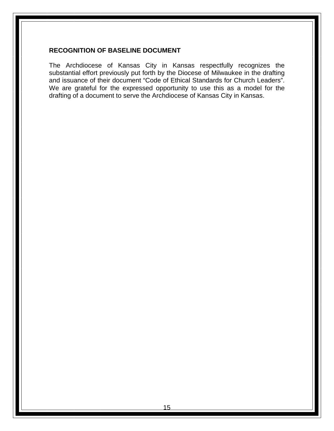#### **RECOGNITION OF BASELINE DOCUMENT**

The Archdiocese of Kansas City in Kansas respectfully recognizes the substantial effort previously put forth by the Diocese of Milwaukee in the drafting and issuance of their document "Code of Ethical Standards for Church Leaders". We are grateful for the expressed opportunity to use this as a model for the drafting of a document to serve the Archdiocese of Kansas City in Kansas.